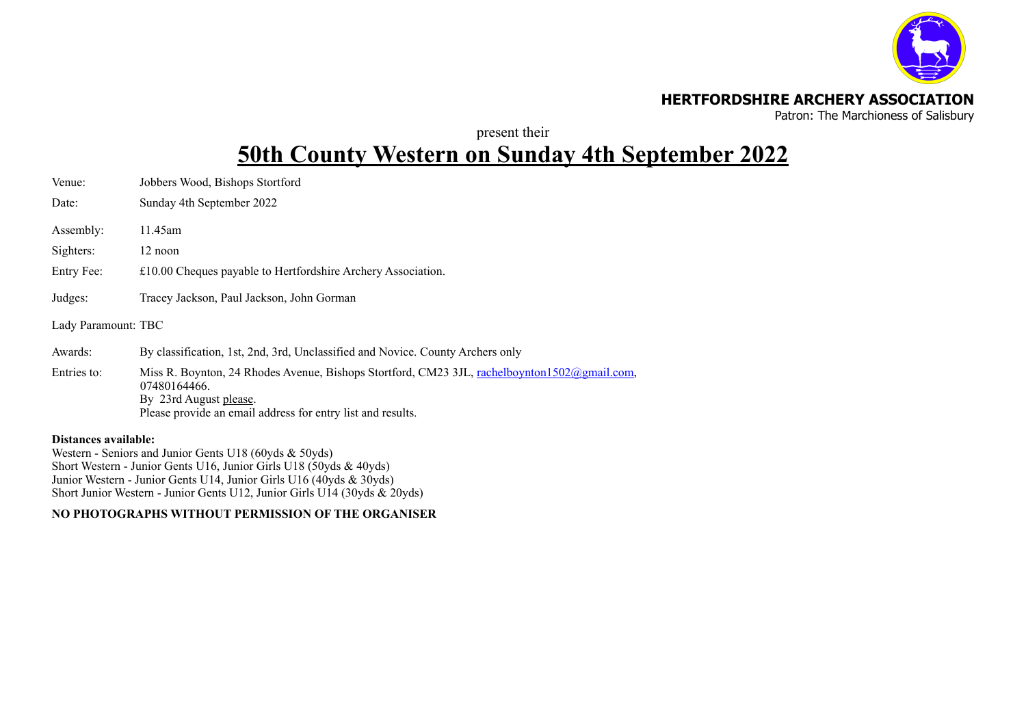

## **HERTFORDSHIRE ARCHERY ASSOCIATION**

Patron: The Marchioness of Salisbury

present their

# **50th County Western on Sunday 4th September 2022**

| Venue:              | Jobbers Wood, Bishops Stortford                                                                                                                                                                       |
|---------------------|-------------------------------------------------------------------------------------------------------------------------------------------------------------------------------------------------------|
| Date:               | Sunday 4th September 2022                                                                                                                                                                             |
| Assembly:           | 11.45am                                                                                                                                                                                               |
| Sighters:           | 12 noon                                                                                                                                                                                               |
| Entry Fee:          | £10.00 Cheques payable to Hertfordshire Archery Association.                                                                                                                                          |
| Judges:             | Tracey Jackson, Paul Jackson, John Gorman                                                                                                                                                             |
| Lady Paramount: TBC |                                                                                                                                                                                                       |
| Awards:             | By classification, 1st, 2nd, 3rd, Unclassified and Novice. County Archers only                                                                                                                        |
| Entries to:         | Miss R. Boynton, 24 Rhodes Avenue, Bishops Stortford, CM23 3JL, rachelboynton1502@gmail.com,<br>07480164466.<br>By 23rd August please.<br>Please provide an email address for entry list and results. |

#### **Distances available:**

Western - Seniors and Junior Gents U18 (60yds & 50yds) Short Western - Junior Gents U16, Junior Girls U18 (50yds & 40yds) Junior Western - Junior Gents U14, Junior Girls U16 (40yds & 30yds) Short Junior Western - Junior Gents U12, Junior Girls U14 (30yds & 20yds)

### **NO PHOTOGRAPHS WITHOUT PERMISSION OF THE ORGANISER**